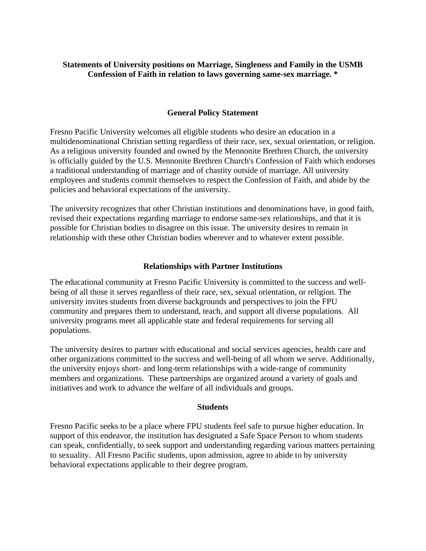# **Statements of University positions on Marriage, Singleness and Family in the USMB Confession of Faith in relation to laws governing same-sex marriage. \***

# **General Policy Statement**

Fresno Pacific University welcomes all eligible students who desire an education in a multidenominational Christian setting regardless of their race, sex, sexual orientation, or religion. As a religious university founded and owned by the Mennonite Brethren Church, the university is officially guided by the U.S. Mennonite Brethren Church's Confession of Faith which endorses a traditional understanding of marriage and of chastity outside of marriage. All university employees and students commit themselves to respect the Confession of Faith, and abide by the policies and behavioral expectations of the university.

The university recognizes that other Christian institutions and denominations have, in good faith, revised their expectations regarding marriage to endorse same-sex relationships, and that it is possible for Christian bodies to disagree on this issue. The university desires to remain in relationship with these other Christian bodies wherever and to whatever extent possible.

# **Relationships with Partner Institutions**

The educational community at Fresno Pacific University is committed to the success and wellbeing of all those it serves regardless of their race, sex, sexual orientation, or religion. The university invites students from diverse backgrounds and perspectives to join the FPU community and prepares them to understand, teach, and support all diverse populations. All university programs meet all applicable state and federal requirements for serving all populations.

The university desires to partner with educational and social services agencies, health care and other organizations committed to the success and well-being of all whom we serve. Additionally, the university enjoys short- and long-term relationships with a wide-range of community members and organizations. These partnerships are organized around a variety of goals and initiatives and work to advance the welfare of all individuals and groups.

# **Students**

Fresno Pacific seeks to be a place where FPU students feel safe to pursue higher education. In support of this endeavor, the institution has designated a Safe Space Person to whom students can speak, confidentially, to seek support and understanding regarding various matters pertaining to sexuality. All Fresno Pacific students, upon admission, agree to abide to by university behavioral expectations applicable to their degree program.